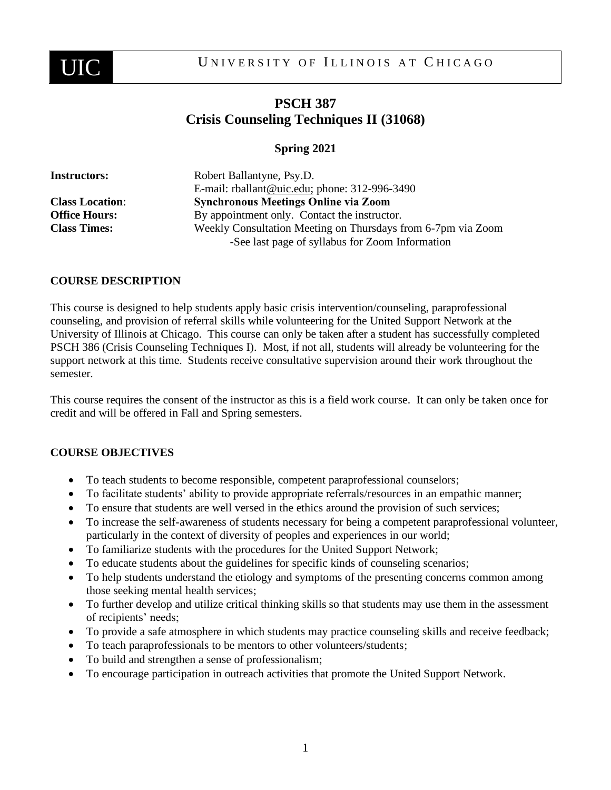

# **PSCH 387 Crisis Counseling Techniques II (31068)**

# **Spring 2021**

| <b>Instructors:</b>    | Robert Ballantyne, Psy.D.                                                                                       |
|------------------------|-----------------------------------------------------------------------------------------------------------------|
|                        | E-mail: rballant@uic.edu; phone: 312-996-3490                                                                   |
| <b>Class Location:</b> | <b>Synchronous Meetings Online via Zoom</b>                                                                     |
| <b>Office Hours:</b>   | By appointment only. Contact the instructor.                                                                    |
| <b>Class Times:</b>    | Weekly Consultation Meeting on Thursdays from 6-7pm via Zoom<br>-See last page of syllabus for Zoom Information |
|                        |                                                                                                                 |

#### **COURSE DESCRIPTION**

This course is designed to help students apply basic crisis intervention/counseling, paraprofessional counseling, and provision of referral skills while volunteering for the United Support Network at the University of Illinois at Chicago. This course can only be taken after a student has successfully completed PSCH 386 (Crisis Counseling Techniques I). Most, if not all, students will already be volunteering for the support network at this time. Students receive consultative supervision around their work throughout the semester.

This course requires the consent of the instructor as this is a field work course. It can only be taken once for credit and will be offered in Fall and Spring semesters.

# **COURSE OBJECTIVES**

- To teach students to become responsible, competent paraprofessional counselors;
- To facilitate students' ability to provide appropriate referrals/resources in an empathic manner;
- To ensure that students are well versed in the ethics around the provision of such services;
- To increase the self-awareness of students necessary for being a competent paraprofessional volunteer, particularly in the context of diversity of peoples and experiences in our world;
- To familiarize students with the procedures for the United Support Network;
- To educate students about the guidelines for specific kinds of counseling scenarios;
- To help students understand the etiology and symptoms of the presenting concerns common among those seeking mental health services;
- To further develop and utilize critical thinking skills so that students may use them in the assessment of recipients' needs;
- To provide a safe atmosphere in which students may practice counseling skills and receive feedback;
- To teach paraprofessionals to be mentors to other volunteers/students;
- To build and strengthen a sense of professionalism;
- To encourage participation in outreach activities that promote the United Support Network.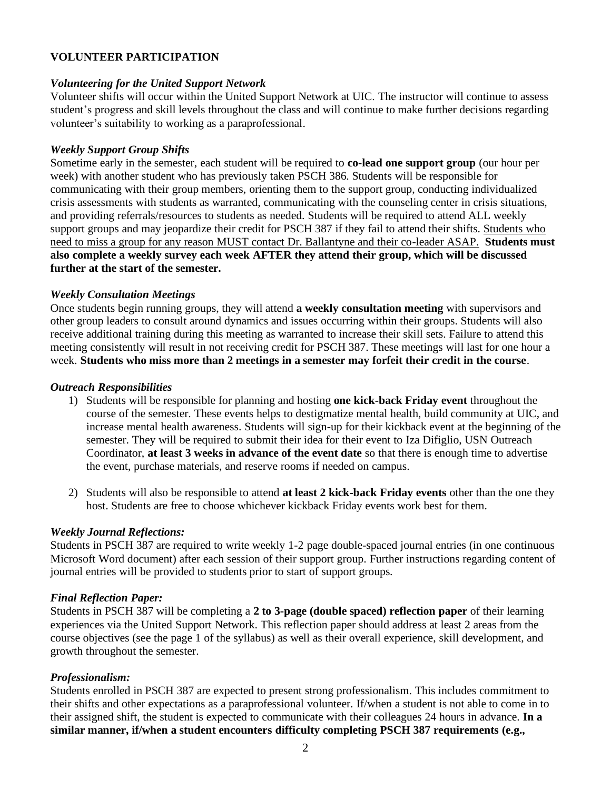# **VOLUNTEER PARTICIPATION**

#### *Volunteering for the United Support Network*

Volunteer shifts will occur within the United Support Network at UIC. The instructor will continue to assess student's progress and skill levels throughout the class and will continue to make further decisions regarding volunteer's suitability to working as a paraprofessional.

#### *Weekly Support Group Shifts*

Sometime early in the semester, each student will be required to **co-lead one support group** (our hour per week) with another student who has previously taken PSCH 386. Students will be responsible for communicating with their group members, orienting them to the support group, conducting individualized crisis assessments with students as warranted, communicating with the counseling center in crisis situations, and providing referrals/resources to students as needed. Students will be required to attend ALL weekly support groups and may jeopardize their credit for PSCH 387 if they fail to attend their shifts. Students who need to miss a group for any reason MUST contact Dr. Ballantyne and their co-leader ASAP. **Students must also complete a weekly survey each week AFTER they attend their group, which will be discussed further at the start of the semester.**

#### *Weekly Consultation Meetings*

Once students begin running groups, they will attend **a weekly consultation meeting** with supervisors and other group leaders to consult around dynamics and issues occurring within their groups. Students will also receive additional training during this meeting as warranted to increase their skill sets. Failure to attend this meeting consistently will result in not receiving credit for PSCH 387. These meetings will last for one hour a week. **Students who miss more than 2 meetings in a semester may forfeit their credit in the course**.

#### *Outreach Responsibilities*

- 1) Students will be responsible for planning and hosting **one kick-back Friday event** throughout the course of the semester. These events helps to destigmatize mental health, build community at UIC, and increase mental health awareness. Students will sign-up for their kickback event at the beginning of the semester. They will be required to submit their idea for their event to Iza Difiglio, USN Outreach Coordinator, **at least 3 weeks in advance of the event date** so that there is enough time to advertise the event, purchase materials, and reserve rooms if needed on campus.
- 2) Students will also be responsible to attend **at least 2 kick-back Friday events** other than the one they host. Students are free to choose whichever kickback Friday events work best for them.

#### *Weekly Journal Reflections:*

Students in PSCH 387 are required to write weekly 1-2 page double-spaced journal entries (in one continuous Microsoft Word document) after each session of their support group. Further instructions regarding content of journal entries will be provided to students prior to start of support groups.

#### *Final Reflection Paper:*

Students in PSCH 387 will be completing a **2 to 3-page (double spaced) reflection paper** of their learning experiences via the United Support Network. This reflection paper should address at least 2 areas from the course objectives (see the page 1 of the syllabus) as well as their overall experience, skill development, and growth throughout the semester.

# *Professionalism:*

Students enrolled in PSCH 387 are expected to present strong professionalism. This includes commitment to their shifts and other expectations as a paraprofessional volunteer. If/when a student is not able to come in to their assigned shift, the student is expected to communicate with their colleagues 24 hours in advance. **In a similar manner, if/when a student encounters difficulty completing PSCH 387 requirements (e.g.,**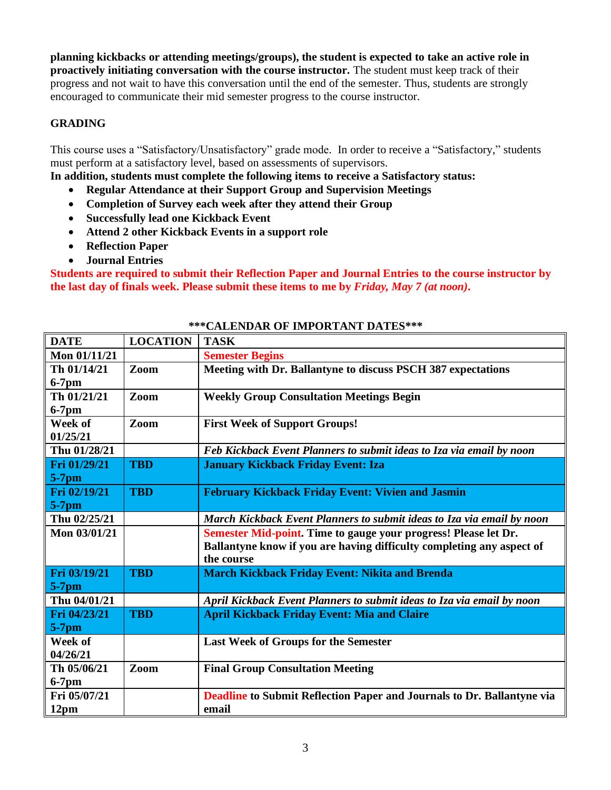**planning kickbacks or attending meetings/groups), the student is expected to take an active role in proactively initiating conversation with the course instructor.** The student must keep track of their progress and not wait to have this conversation until the end of the semester. Thus, students are strongly encouraged to communicate their mid semester progress to the course instructor.

# **GRADING**

This course uses a "Satisfactory/Unsatisfactory" grade mode. In order to receive a "Satisfactory," students must perform at a satisfactory level, based on assessments of supervisors.

**In addition, students must complete the following items to receive a Satisfactory status:** 

- **Regular Attendance at their Support Group and Supervision Meetings**
- **Completion of Survey each week after they attend their Group**
- **Successfully lead one Kickback Event**
- **Attend 2 other Kickback Events in a support role**
- **Reflection Paper**
- **Journal Entries**

**Students are required to submit their Reflection Paper and Journal Entries to the course instructor by the last day of finals week. Please submit these items to me by** *Friday, May 7 (at noon)***.** 

| <b>DATE</b>  | <b>LOCATION</b> | <b>TASK</b>                                                            |
|--------------|-----------------|------------------------------------------------------------------------|
| Mon 01/11/21 |                 | <b>Semester Begins</b>                                                 |
| Th 01/14/21  | Zoom            | Meeting with Dr. Ballantyne to discuss PSCH 387 expectations           |
| $6-7$ pm     |                 |                                                                        |
| Th 01/21/21  | Zoom            | <b>Weekly Group Consultation Meetings Begin</b>                        |
| $6-7$ pm     |                 |                                                                        |
| Week of      | Zoom            | <b>First Week of Support Groups!</b>                                   |
| 01/25/21     |                 |                                                                        |
| Thu 01/28/21 |                 | Feb Kickback Event Planners to submit ideas to Iza via email by noon   |
| Fri 01/29/21 | <b>TBD</b>      | <b>January Kickback Friday Event: Iza</b>                              |
| $5-7$ pm     |                 |                                                                        |
| Fri 02/19/21 | <b>TBD</b>      | <b>February Kickback Friday Event: Vivien and Jasmin</b>               |
| $5-7$ pm     |                 |                                                                        |
| Thu 02/25/21 |                 | March Kickback Event Planners to submit ideas to Iza via email by noon |
| Mon 03/01/21 |                 | Semester Mid-point. Time to gauge your progress! Please let Dr.        |
|              |                 | Ballantyne know if you are having difficulty completing any aspect of  |
|              |                 | the course                                                             |
| Fri 03/19/21 | <b>TBD</b>      | <b>March Kickback Friday Event: Nikita and Brenda</b>                  |
| $5-7$ pm     |                 |                                                                        |
| Thu 04/01/21 |                 | April Kickback Event Planners to submit ideas to Iza via email by noon |
| Fri 04/23/21 | <b>TBD</b>      | <b>April Kickback Friday Event: Mia and Claire</b>                     |
| $5-7$ pm     |                 |                                                                        |
| Week of      |                 | <b>Last Week of Groups for the Semester</b>                            |
| 04/26/21     |                 |                                                                        |
| Th 05/06/21  | Zoom            | <b>Final Group Consultation Meeting</b>                                |
| $6-7$ pm     |                 |                                                                        |
| Fri 05/07/21 |                 | Deadline to Submit Reflection Paper and Journals to Dr. Ballantyne via |
| 12pm         |                 | email                                                                  |

# **\*\*\*CALENDAR OF IMPORTANT DATES\*\*\***